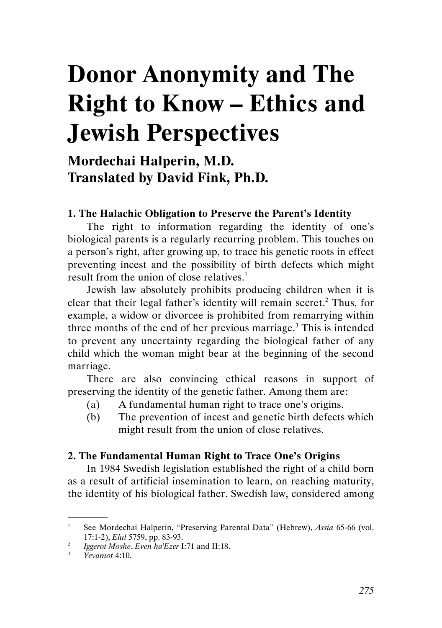# Donor Anonymity and The Right to Know – Ethics and Jewish Perspectives

## Mordechai Halperin, M.D. Translated by David Fink, Ph.D.

#### 1. The Halachic Obligation to Preserve the Parent's Identity

The right to information regarding the identity of one's biological parents is a regularly recurring problem. This touches on a person's right, after growing up, to trace his genetic roots in effect preventing incest and the possibility of birth defects which might result from the union of close relatives.<sup>1</sup>

Jewish law absolutely prohibits producing children when it is clear that their legal father's identity will remain secret.<sup>2</sup> Thus, for example, a widow or divorcee is prohibited from remarrying within three months of the end of her previous marriage. $3$  This is intended to prevent any uncertainty regarding the biological father of any child which the woman might bear at the beginning of the second marriage.

There are also convincing ethical reasons in support of preserving the identity of the genetic father. Among them are:

- (a) A fundamental human right to trace one's origins.
- (b) The prevention of incest and genetic birth defects which might result from the union of close relatives.

#### 2. The Fundamental Human Right to Trace One's Origins

In 1984 Swedish legislation established the right of a child born as a result of artificial insemination to learn, on reaching maturity, the identity of his biological father. Swedish law, considered among

<sup>1</sup> See Mordechai Halperin, "Preserving Parental Data" (Hebrew), Assia 65-66 (vol. 17:1-2), Elul 5759, pp. 83-93.

<sup>2</sup> Iggerot Moshe, Even ha'Ezer I:71 and II:18.

<sup>3</sup> Yevamot 4:10.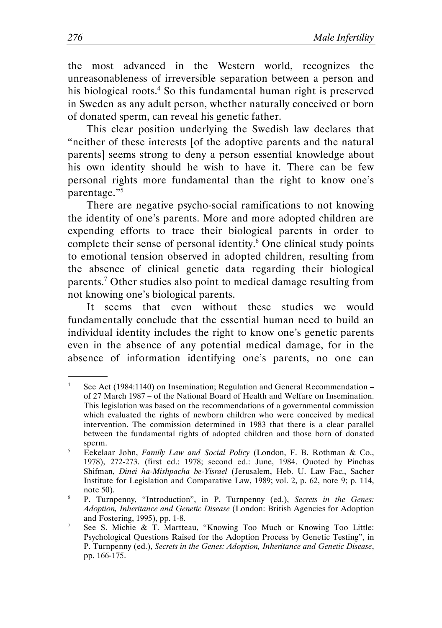the most advanced in the Western world, recognizes the unreasonableness of irreversible separation between a person and his biological roots.<sup>4</sup> So this fundamental human right is preserved in Sweden as any adult person, whether naturally conceived or born of donated sperm, can reveal his genetic father.

This clear position underlying the Swedish law declares that "neither of these interests [of the adoptive parents and the natural parents] seems strong to deny a person essential knowledge about his own identity should he wish to have it. There can be few personal rights more fundamental than the right to know one's parentage."<sup>5</sup>

There are negative psycho-social ramifications to not knowing the identity of one's parents. More and more adopted children are expending efforts to trace their biological parents in order to complete their sense of personal identity.<sup>6</sup> One clinical study points to emotional tension observed in adopted children, resulting from the absence of clinical genetic data regarding their biological parents.<sup>7</sup> Other studies also point to medical damage resulting from not knowing one's biological parents.

It seems that even without these studies we would fundamentally conclude that the essential human need to build an individual identity includes the right to know one's genetic parents even in the absence of any potential medical damage, for in the absence of information identifying one's parents, no one can

<sup>4</sup> See Act (1984:1140) on Insemination; Regulation and General Recommendation – of 27 March 1987 – of the National Board of Health and Welfare on Insemination. This legislation was based on the recommendations of a governmental commission which evaluated the rights of newborn children who were conceived by medical intervention. The commission determined in 1983 that there is a clear parallel between the fundamental rights of adopted children and those born of donated sperm.

<sup>5</sup> Eekelaar John, Family Law and Social Policy (London, F. B. Rothman & Co., 1978), 272-273. (first ed.: 1978; second ed.: June, 1984. Quoted by Pinchas Shifman, Dinei ha-Mishpacha be-Yisrael (Jerusalem, Heb. U. Law Fac., Sacher Institute for Legislation and Comparative Law, 1989; vol. 2, p. 62, note 9; p. 114, note 50).

<sup>6</sup> P. Turnpenny, "Introduction", in P. Turnpenny (ed.), Secrets in the Genes: Adoption, Inheritance and Genetic Disease (London: British Agencies for Adoption and Fostering, 1995), pp. 1-8.

<sup>7</sup> See S. Michie & T. Martteau, "Knowing Too Much or Knowing Too Little: Psychological Questions Raised for the Adoption Process by Genetic Testing", in P. Turnpenny (ed.), Secrets in the Genes: Adoption, Inheritance and Genetic Disease, pp. 166-175.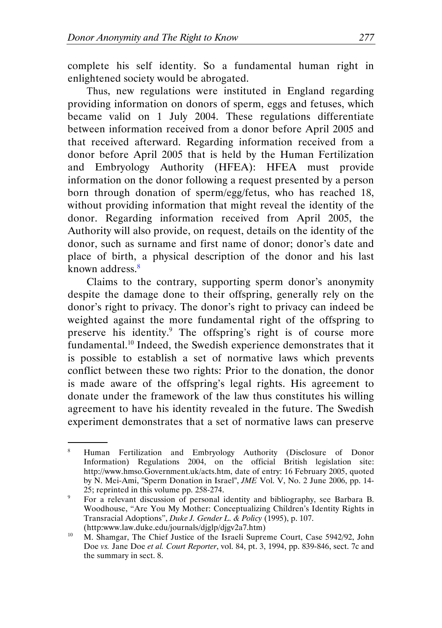complete his self identity. So a fundamental human right in enlightened society would be abrogated.

Thus, new regulations were instituted in England regarding providing information on donors of sperm, eggs and fetuses, which became valid on 1 July 2004. These regulations differentiate between information received from a donor before April 2005 and that received afterward. Regarding information received from a donor before April 2005 that is held by the Human Fertilization and Embryology Authority (HFEA): HFEA must provide information on the donor following a request presented by a person born through donation of sperm/egg/fetus, who has reached 18, without providing information that might reveal the identity of the donor. Regarding information received from April 2005, the Authority will also provide, on request, details on the identity of the donor, such as surname and first name of donor; donor's date and place of birth, a physical description of the donor and his last known address.<sup>8</sup>

Claims to the contrary, supporting sperm donor's anonymity despite the damage done to their offspring, generally rely on the donor's right to privacy. The donor's right to privacy can indeed be weighted against the more fundamental right of the offspring to preserve his identity.<sup>9</sup> The offspring's right is of course more fundamental.<sup>10</sup> Indeed, the Swedish experience demonstrates that it is possible to establish a set of normative laws which prevents conflict between these two rights: Prior to the donation, the donor is made aware of the offspring's legal rights. His agreement to donate under the framework of the law thus constitutes his willing agreement to have his identity revealed in the future. The Swedish experiment demonstrates that a set of normative laws can preserve

<sup>8</sup> Human Fertilization and Embryology Authority (Disclosure of Donor Information) Regulations 2004, on the official British legislation site: http://www.hmso.Government.uk/acts.htm, date of entry: 16 February 2005, quoted by N. Mei-Ami, "Sperm Donation in Israel", JME Vol. V, No. 2 June 2006, pp. 14- 25; reprinted in this volume pp. 258-274.

<sup>9</sup> For a relevant discussion of personal identity and bibliography, see Barbara B. Woodhouse, "Are You My Mother: Conceptualizing Children's Identity Rights in Transracial Adoptions", Duke J. Gender L. & Policy (1995), p. 107.

 <sup>(</sup>http:www.law.duke.edu/journals/djglp/djgv2a7.htm) M. Shamgar, The Chief Justice of the Israeli Supreme Court, Case 5942/92, John Doe *vs.* Jane Doe *et al. Court Reporter*, vol. 84, pt. 3, 1994, pp. 839-846, sect. 7c and the summary in sect. 8.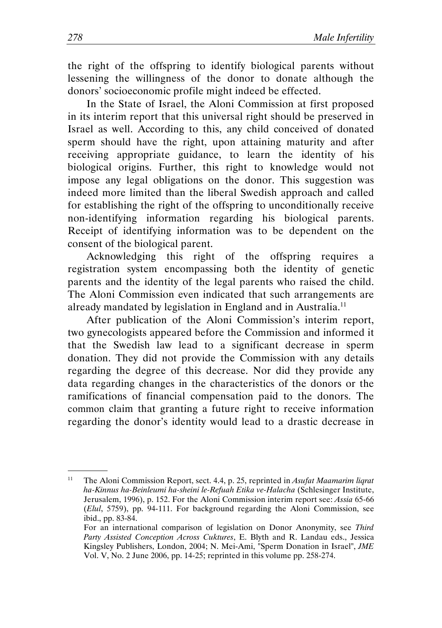the right of the offspring to identify biological parents without lessening the willingness of the donor to donate although the donors' socioeconomic profile might indeed be effected.

In the State of Israel, the Aloni Commission at first proposed in its interim report that this universal right should be preserved in Israel as well. According to this, any child conceived of donated sperm should have the right, upon attaining maturity and after receiving appropriate guidance, to learn the identity of his biological origins. Further, this right to knowledge would not impose any legal obligations on the donor. This suggestion was indeed more limited than the liberal Swedish approach and called for establishing the right of the offspring to unconditionally receive non-identifying information regarding his biological parents. Receipt of identifying information was to be dependent on the consent of the biological parent.

Acknowledging this right of the offspring requires a registration system encompassing both the identity of genetic parents and the identity of the legal parents who raised the child. The Aloni Commission even indicated that such arrangements are already mandated by legislation in England and in Australia.<sup>11</sup>

After publication of the Aloni Commission's interim report, two gynecologists appeared before the Commission and informed it that the Swedish law lead to a significant decrease in sperm donation. They did not provide the Commission with any details regarding the degree of this decrease. Nor did they provide any data regarding changes in the characteristics of the donors or the ramifications of financial compensation paid to the donors. The common claim that granting a future right to receive information regarding the donor's identity would lead to a drastic decrease in

<sup>&</sup>lt;sup>11</sup> The Aloni Commission Report, sect. 4.4, p. 25, reprinted in *Asufat Maamarim liqrat* ha-Kinnus ha-Beinleumi ha-sheini le-Refuah Etika ve-Halacha (Schlesinger Institute, Jerusalem, 1996), p. 152. For the Aloni Commission interim report see: Assia 65-66 (Elul, 5759), pp. 94-111. For background regarding the Aloni Commission, see ibid., pp. 83-84.

For an international comparison of legislation on Donor Anonymity, see Third Party Assisted Conception Across Cuktures, E. Blyth and R. Landau eds., Jessica Kingsley Publishers, London, 2004; N. Mei-Ami, "Sperm Donation in Israel", JME Vol. V, No. 2 June 2006, pp. 14-25; reprinted in this volume pp. 258-274.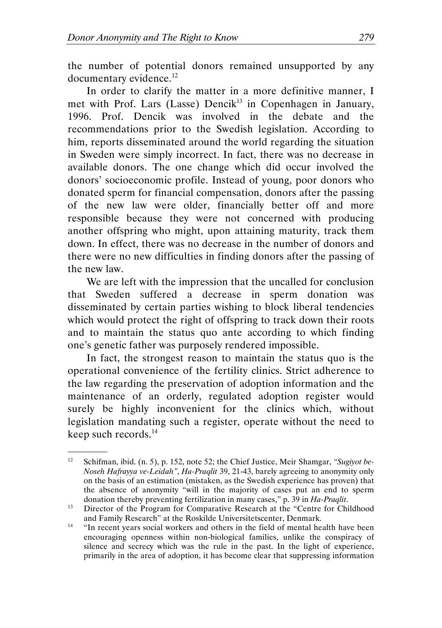the number of potential donors remained unsupported by any documentary evidence.<sup>12</sup>

In order to clarify the matter in a more definitive manner, I met with Prof. Lars (Lasse) Dencik<sup>13</sup> in Copenhagen in January, 1996. Prof. Dencik was involved in the debate and the recommendations prior to the Swedish legislation. According to him, reports disseminated around the world regarding the situation in Sweden were simply incorrect. In fact, there was no decrease in available donors. The one change which did occur involved the donors' socioeconomic profile. Instead of young, poor donors who donated sperm for financial compensation, donors after the passing of the new law were older, financially better off and more responsible because they were not concerned with producing another offspring who might, upon attaining maturity, track them down. In effect, there was no decrease in the number of donors and there were no new difficulties in finding donors after the passing of the new law.

We are left with the impression that the uncalled for conclusion that Sweden suffered a decrease in sperm donation was disseminated by certain parties wishing to block liberal tendencies which would protect the right of offspring to track down their roots and to maintain the status quo ante according to which finding one's genetic father was purposely rendered impossible.

In fact, the strongest reason to maintain the status quo is the operational convenience of the fertility clinics. Strict adherence to the law regarding the preservation of adoption information and the maintenance of an orderly, regulated adoption register would surely be highly inconvenient for the clinics which, without legislation mandating such a register, operate without the need to keep such records.<sup>14</sup>

<sup>&</sup>lt;sup>12</sup> Schifman, ibid. (n. 5), p. 152, note 52; the Chief Justice, Meir Shamgar, "Sugiyot be-Noseh Hafrayya ve-Leidah", Ha-Praqlit 39, 21-43, barely agreeing to anonymity only on the basis of an estimation (mistaken, as the Swedish experience has proven) that the absence of anonymity "will in the majority of cases put an end to sperm donation thereby preventing fertilization in many cases," p. 39 in Ha-Praqlit.

<sup>&</sup>lt;sup>13</sup> Director of the Program for Comparative Research at the "Centre for Childhood and Family Research" at the Roskilde Universitetscenter, Denmark.

<sup>&</sup>lt;sup>14</sup> "In recent years social workers and others in the field of mental health have been encouraging openness within non-biological families, unlike the conspiracy of silence and secrecy which was the rule in the past. In the light of experience, primarily in the area of adoption, it has become clear that suppressing information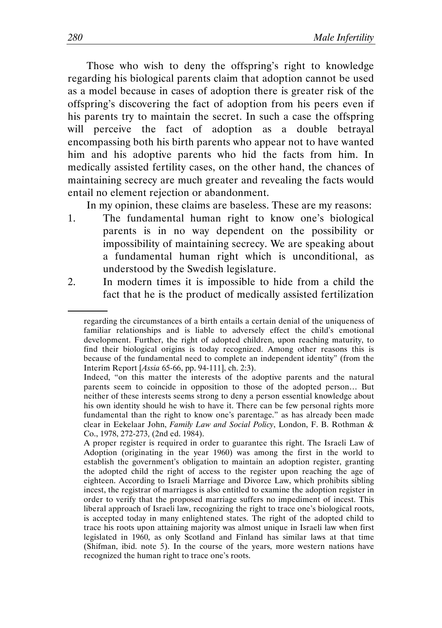Those who wish to deny the offspring's right to knowledge regarding his biological parents claim that adoption cannot be used as a model because in cases of adoption there is greater risk of the offspring's discovering the fact of adoption from his peers even if his parents try to maintain the secret. In such a case the offspring will perceive the fact of adoption as a double betrayal encompassing both his birth parents who appear not to have wanted him and his adoptive parents who hid the facts from him. In medically assisted fertility cases, on the other hand, the chances of maintaining secrecy are much greater and revealing the facts would entail no element rejection or abandonment.

In my opinion, these claims are baseless. These are my reasons:

- 1. The fundamental human right to know one's biological parents is in no way dependent on the possibility or impossibility of maintaining secrecy. We are speaking about a fundamental human right which is unconditional, as understood by the Swedish legislature.
- 2. In modern times it is impossible to hide from a child the fact that he is the product of medically assisted fertilization

regarding the circumstances of a birth entails a certain denial of the uniqueness of familiar relationships and is liable to adversely effect the child's emotional development. Further, the right of adopted children, upon reaching maturity, to find their biological origins is today recognized. Among other reasons this is because of the fundamental need to complete an independent identity" (from the Interim Report [Assia 65-66, pp. 94-111], ch. 2:3).

Indeed, "on this matter the interests of the adoptive parents and the natural parents seem to coincide in opposition to those of the adopted person… But neither of these interests seems strong to deny a person essential knowledge about his own identity should he wish to have it. There can be few personal rights more fundamental than the right to know one's parentage." as has already been made clear in Eekelaar John, Family Law and Social Policy, London, F. B. Rothman & Co., 1978, 272-273, (2nd ed. 1984).

A proper register is required in order to guarantee this right. The Israeli Law of Adoption (originating in the year 1960) was among the first in the world to establish the government's obligation to maintain an adoption register, granting the adopted child the right of access to the register upon reaching the age of eighteen. According to Israeli Marriage and Divorce Law, which prohibits sibling incest, the registrar of marriages is also entitled to examine the adoption register in order to verify that the proposed marriage suffers no impediment of incest. This liberal approach of Israeli law, recognizing the right to trace one's biological roots, is accepted today in many enlightened states. The right of the adopted child to trace his roots upon attaining majority was almost unique in Israeli law when first legislated in 1960, as only Scotland and Finland has similar laws at that time (Shifman, ibid. note 5). In the course of the years, more western nations have recognized the human right to trace one's roots.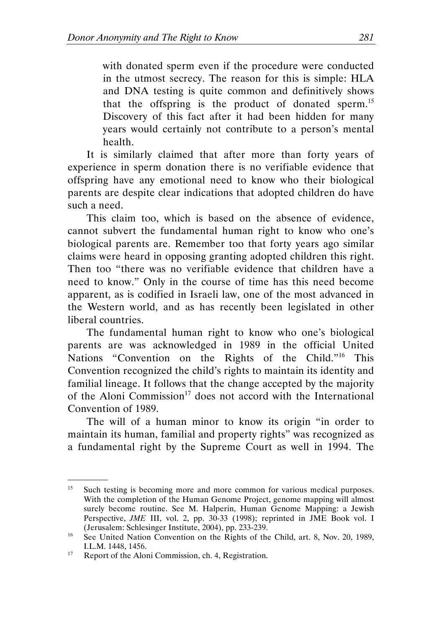with donated sperm even if the procedure were conducted in the utmost secrecy. The reason for this is simple: HLA and DNA testing is quite common and definitively shows that the offspring is the product of donated sperm.<sup>15</sup> Discovery of this fact after it had been hidden for many years would certainly not contribute to a person's mental health.

It is similarly claimed that after more than forty years of experience in sperm donation there is no verifiable evidence that offspring have any emotional need to know who their biological parents are despite clear indications that adopted children do have such a need.

This claim too, which is based on the absence of evidence, cannot subvert the fundamental human right to know who one's biological parents are. Remember too that forty years ago similar claims were heard in opposing granting adopted children this right. Then too "there was no verifiable evidence that children have a need to know." Only in the course of time has this need become apparent, as is codified in Israeli law, one of the most advanced in the Western world, and as has recently been legislated in other liberal countries.

The fundamental human right to know who one's biological parents are was acknowledged in 1989 in the official United Nations "Convention on the Rights of the Child."<sup>16</sup> This Convention recognized the child's rights to maintain its identity and familial lineage. It follows that the change accepted by the majority of the Aloni Commission<sup>17</sup> does not accord with the International Convention of 1989.

The will of a human minor to know its origin "in order to maintain its human, familial and property rights" was recognized as a fundamental right by the Supreme Court as well in 1994. The

<sup>&</sup>lt;sup>15</sup> Such testing is becoming more and more common for various medical purposes. With the completion of the Human Genome Project, genome mapping will almost surely become routine. See M. Halperin, Human Genome Mapping: a Jewish Perspective, JME III, vol. 2, pp. 30-33 (1998); reprinted in JME Book vol. I (Jerusalem: Schlesinger Institute, 2004), pp. 233-239.

<sup>&</sup>lt;sup>16</sup> See United Nation Convention on the Rights of the Child, art. 8, Nov. 20, 1989, I.L.M. 1448, 1456.

<sup>&</sup>lt;sup>17</sup> Report of the Aloni Commission, ch. 4, Registration.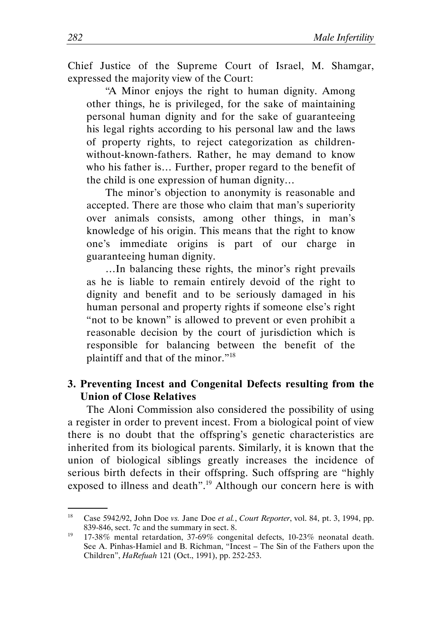Chief Justice of the Supreme Court of Israel, M. Shamgar, expressed the majority view of the Court:

"A Minor enjoys the right to human dignity. Among other things, he is privileged, for the sake of maintaining personal human dignity and for the sake of guaranteeing his legal rights according to his personal law and the laws of property rights, to reject categorization as childrenwithout-known-fathers. Rather, he may demand to know who his father is… Further, proper regard to the benefit of the child is one expression of human dignity…

The minor's objection to anonymity is reasonable and accepted. There are those who claim that man's superiority over animals consists, among other things, in man's knowledge of his origin. This means that the right to know one's immediate origins is part of our charge in guaranteeing human dignity.

…In balancing these rights, the minor's right prevails as he is liable to remain entirely devoid of the right to dignity and benefit and to be seriously damaged in his human personal and property rights if someone else's right "not to be known" is allowed to prevent or even prohibit a reasonable decision by the court of jurisdiction which is responsible for balancing between the benefit of the plaintiff and that of the minor."<sup>18</sup>

### 3. Preventing Incest and Congenital Defects resulting from the Union of Close Relatives

The Aloni Commission also considered the possibility of using a register in order to prevent incest. From a biological point of view there is no doubt that the offspring's genetic characteristics are inherited from its biological parents. Similarly, it is known that the union of biological siblings greatly increases the incidence of serious birth defects in their offspring. Such offspring are "highly exposed to illness and death".<sup>19</sup> Although our concern here is with

<sup>&</sup>lt;sup>18</sup> Case 5942/92, John Doe *vs.* Jane Doe *et al., Court Reporter*, vol. 84, pt. 3, 1994, pp. 839-846, sect. 7c and the summary in sect. 8.

<sup>&</sup>lt;sup>19</sup> 17-38% mental retardation, 37-69% congenital defects, 10-23% neonatal death. See A. Pinhas-Hamiel and B. Richman, "Incest – The Sin of the Fathers upon the Children", HaRefuah 121 (Oct., 1991), pp. 252-253.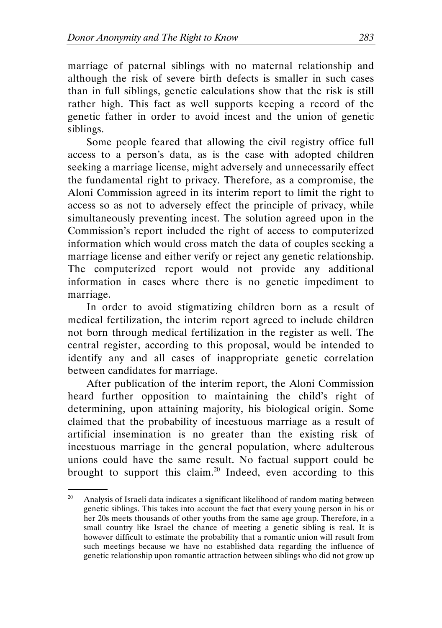marriage of paternal siblings with no maternal relationship and although the risk of severe birth defects is smaller in such cases than in full siblings, genetic calculations show that the risk is still rather high. This fact as well supports keeping a record of the genetic father in order to avoid incest and the union of genetic siblings.

Some people feared that allowing the civil registry office full access to a person's data, as is the case with adopted children seeking a marriage license, might adversely and unnecessarily effect the fundamental right to privacy. Therefore, as a compromise, the Aloni Commission agreed in its interim report to limit the right to access so as not to adversely effect the principle of privacy, while simultaneously preventing incest. The solution agreed upon in the Commission's report included the right of access to computerized information which would cross match the data of couples seeking a marriage license and either verify or reject any genetic relationship. The computerized report would not provide any additional information in cases where there is no genetic impediment to marriage.

In order to avoid stigmatizing children born as a result of medical fertilization, the interim report agreed to include children not born through medical fertilization in the register as well. The central register, according to this proposal, would be intended to identify any and all cases of inappropriate genetic correlation between candidates for marriage.

After publication of the interim report, the Aloni Commission heard further opposition to maintaining the child's right of determining, upon attaining majority, his biological origin. Some claimed that the probability of incestuous marriage as a result of artificial insemination is no greater than the existing risk of incestuous marriage in the general population, where adulterous unions could have the same result. No factual support could be brought to support this claim.<sup>20</sup> Indeed, even according to this

 $20$  Analysis of Israeli data indicates a significant likelihood of random mating between genetic siblings. This takes into account the fact that every young person in his or her 20s meets thousands of other youths from the same age group. Therefore, in a small country like Israel the chance of meeting a genetic sibling is real. It is however difficult to estimate the probability that a romantic union will result from such meetings because we have no established data regarding the influence of genetic relationship upon romantic attraction between siblings who did not grow up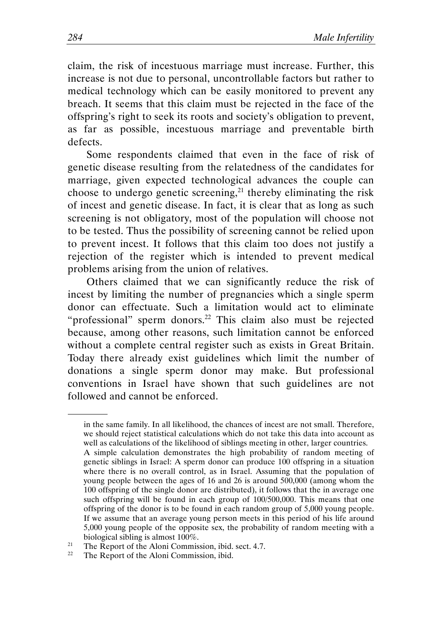claim, the risk of incestuous marriage must increase. Further, this increase is not due to personal, uncontrollable factors but rather to medical technology which can be easily monitored to prevent any breach. It seems that this claim must be rejected in the face of the offspring's right to seek its roots and society's obligation to prevent, as far as possible, incestuous marriage and preventable birth defects.

Some respondents claimed that even in the face of risk of genetic disease resulting from the relatedness of the candidates for marriage, given expected technological advances the couple can choose to undergo genetic screening, $^{21}$  thereby eliminating the risk of incest and genetic disease. In fact, it is clear that as long as such screening is not obligatory, most of the population will choose not to be tested. Thus the possibility of screening cannot be relied upon to prevent incest. It follows that this claim too does not justify a rejection of the register which is intended to prevent medical problems arising from the union of relatives.

Others claimed that we can significantly reduce the risk of incest by limiting the number of pregnancies which a single sperm donor can effectuate. Such a limitation would act to eliminate "professional" sperm donors.<sup>22</sup> This claim also must be rejected because, among other reasons, such limitation cannot be enforced without a complete central register such as exists in Great Britain. Today there already exist guidelines which limit the number of donations a single sperm donor may make. But professional conventions in Israel have shown that such guidelines are not followed and cannot be enforced.

in the same family. In all likelihood, the chances of incest are not small. Therefore, we should reject statistical calculations which do not take this data into account as well as calculations of the likelihood of siblings meeting in other, larger countries. A simple calculation demonstrates the high probability of random meeting of genetic siblings in Israel: A sperm donor can produce 100 offspring in a situation where there is no overall control, as in Israel. Assuming that the population of young people between the ages of 16 and 26 is around 500,000 (among whom the 100 offspring of the single donor are distributed), it follows that the in average one such offspring will be found in each group of 100/500,000. This means that one offspring of the donor is to be found in each random group of 5,000 young people. If we assume that an average young person meets in this period of his life around 5,000 young people of the opposite sex, the probability of random meeting with a biological sibling is almost 100%.

<sup>&</sup>lt;sup>21</sup> The Report of the Aloni Commission, ibid. sect. 4.7.<br><sup>22</sup> The Peport of the Aloni Commission, ibid.

The Report of the Aloni Commission, ibid.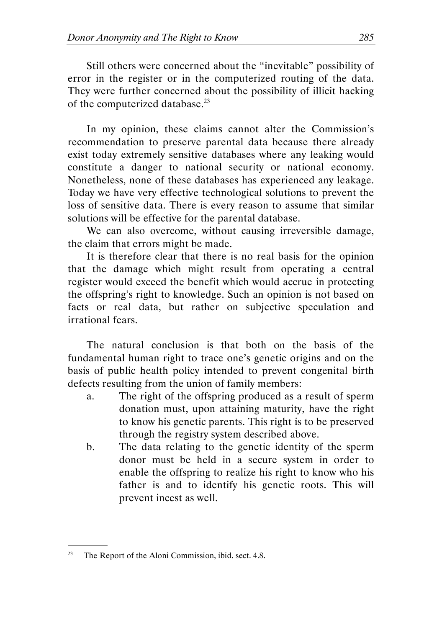Still others were concerned about the "inevitable" possibility of error in the register or in the computerized routing of the data. They were further concerned about the possibility of illicit hacking of the computerized database.<sup>23</sup>

In my opinion, these claims cannot alter the Commission's recommendation to preserve parental data because there already exist today extremely sensitive databases where any leaking would constitute a danger to national security or national economy. Nonetheless, none of these databases has experienced any leakage. Today we have very effective technological solutions to prevent the loss of sensitive data. There is every reason to assume that similar solutions will be effective for the parental database.

We can also overcome, without causing irreversible damage, the claim that errors might be made.

It is therefore clear that there is no real basis for the opinion that the damage which might result from operating a central register would exceed the benefit which would accrue in protecting the offspring's right to knowledge. Such an opinion is not based on facts or real data, but rather on subjective speculation and irrational fears.

The natural conclusion is that both on the basis of the fundamental human right to trace one's genetic origins and on the basis of public health policy intended to prevent congenital birth defects resulting from the union of family members:

- a. The right of the offspring produced as a result of sperm donation must, upon attaining maturity, have the right to know his genetic parents. This right is to be preserved through the registry system described above.
- b. The data relating to the genetic identity of the sperm donor must be held in a secure system in order to enable the offspring to realize his right to know who his father is and to identify his genetic roots. This will prevent incest as well.

 $23$  The Report of the Aloni Commission, ibid. sect. 4.8.